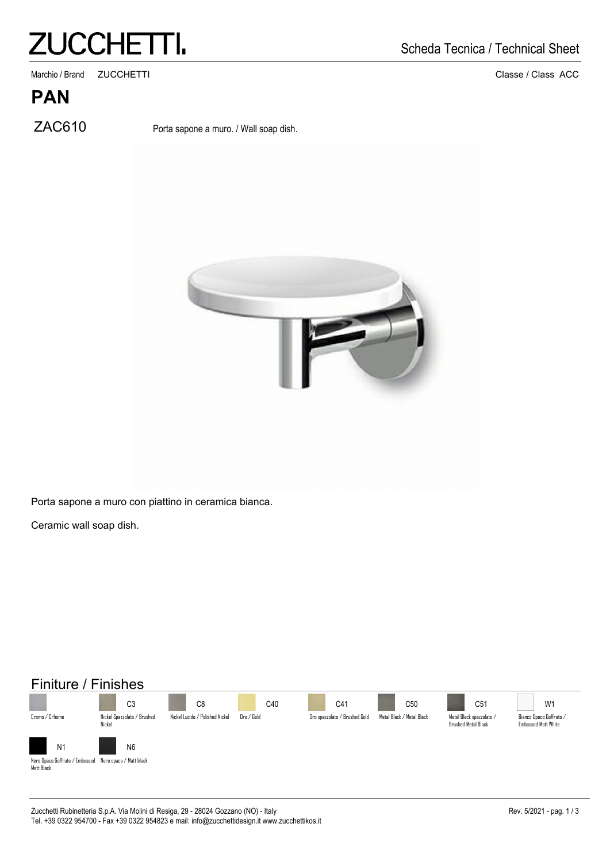## **ZUCCHETTI.**

. Marchio / Brand ZUCCHETTI 2000 Classe / Class ACC

#### **PAN**

ZAC610 Porta sapone a muro. / Wall soap dish.





Porta sapone a muro con piattino in ceramica bianca.

Ceramic wall soap dish.

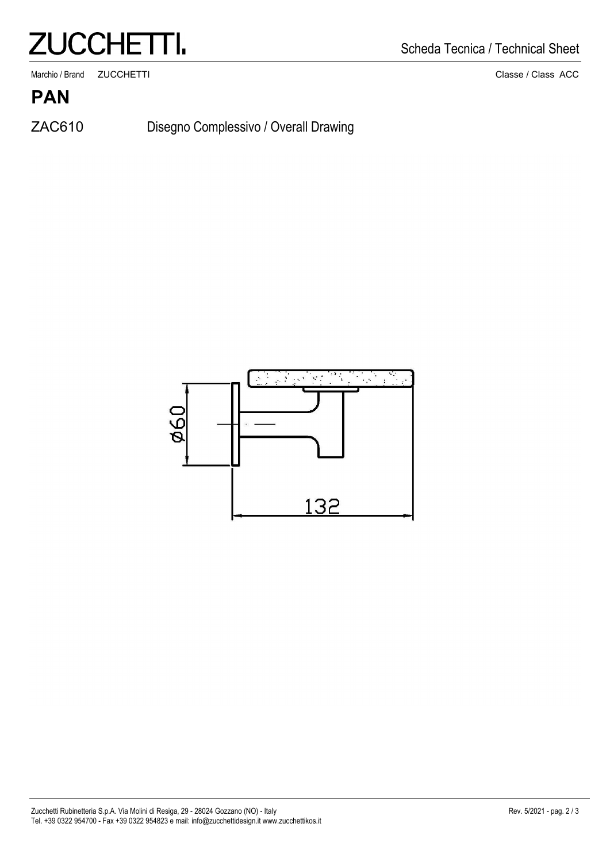## **ZUCCHETTI.**

. Marchio / Brand ZUCCHETTI 2000 Classe / Class ACC

Scheda Tecnica / Technical Sheet

**PAN**

ZAC610

Disegno Complessivo / Overall Drawing